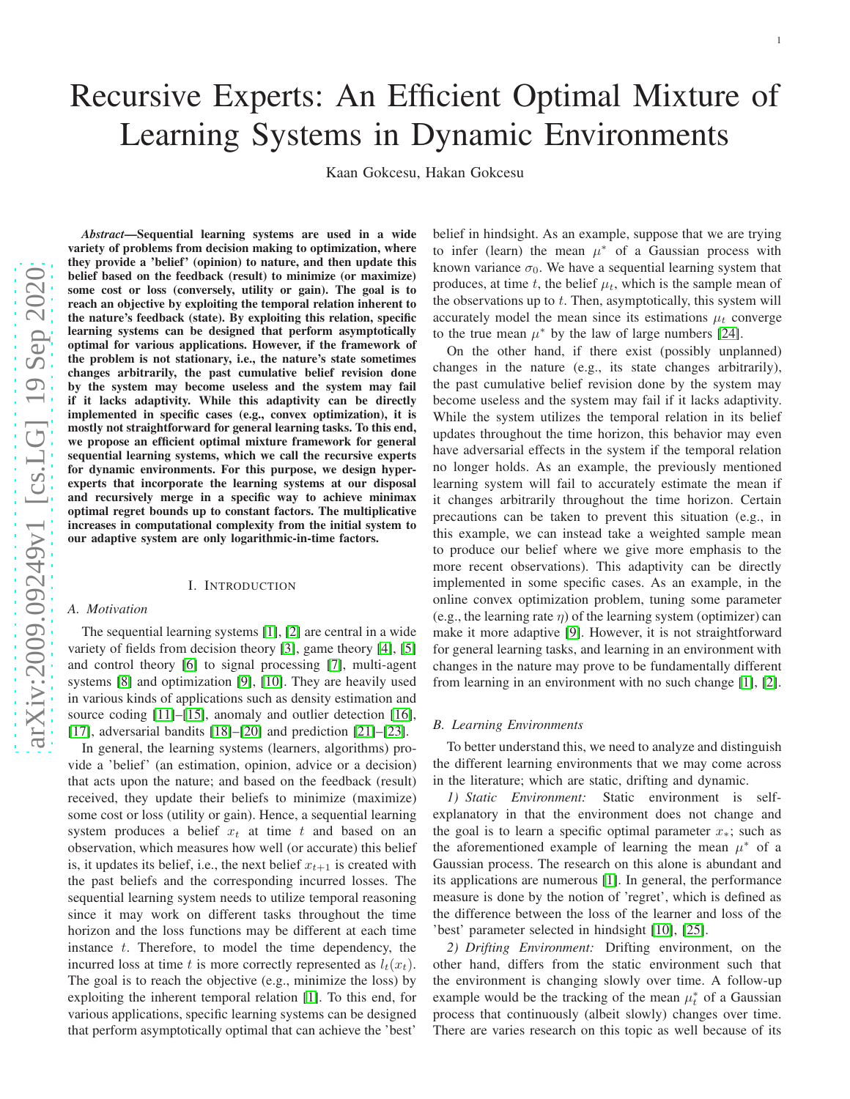# Recursive Experts: An Efficient Optimal Mixture of

## Learning Systems in Dynamic Environments

Kaan Gokcesu, Hakan Gokcesu

*Abstract*—Sequential learning systems are used in a wide variety of problems from decision making to optimization, where they provide a 'belief' (opinion) to nature, and then update this belief based on the feedback (result) to minimize (or maximize) some cost or loss (conversely, utility or gain). The goal is to reach an objective by exploiting the temporal relation inherent to the nature's feedback (state). By exploiting this relation, specific learning systems can be designed that perform asymptotically optimal for various applications. However, if the framework of the problem is not stationary, i.e., the nature's state sometimes changes arbitrarily, the past cumulative belief revision done by the system may become useless and the system may fail if it lacks adaptivity. While this adaptivity can be directly implemented in specific cases (e.g., convex optimization), it is mostly not straightforward for general learning tasks. To this end, we propose an efficient optimal mixture framework for genera l sequential learning systems, which we call the recursive experts for dynamic environments. For this purpose, we design hyper experts that incorporate the learning systems at our disposal and recursively merge in a specific way to achieve minimax optimal regret bounds up to constant factors. The multiplicative increases in computational complexity from the initial system to our adaptive system are only logarithmic-in-time factors.

#### I. INTRODUCTION

#### *A. Motivation*

#### The sequential learning systems [\[1\]](#page-9-0), [\[2\]](#page-9-1) are central in a wid e variety of fields from decision theory [\[3\]](#page-9-2), game theory [\[4\]](#page-9-3), [\[5\]](#page-9-4) and control theory [\[6\]](#page-9-5) to signal processing [\[7\]](#page-9-6), multi-agen t systems [\[8\]](#page-9-7) and optimization [\[9\]](#page-9-8), [\[10\]](#page-9-9). They are heavily use d in various kinds of applications such as density estimation and source coding [\[11\]](#page-9-10)–[\[15\]](#page-10-0), anomaly and outlier detection [\[16\]](#page-10-1), [\[17\]](#page-10-2), adversarial bandits [\[18\]](#page-10-3)–[\[20\]](#page-10-4) and prediction [\[21\]](#page-10-5)–[\[23\]](#page-10-6).

In general, the learning systems (learners, algorithms) provide a 'belief' (an estimation, opinion, advice or a decision) that acts upon the nature; and based on the feedback (result) received, they update their beliefs to minimize (maximize) some cost or loss (utility or gain). Hence, a sequential learning system produces a belief  $x_t$  at time t and based on an observation, which measures how well (or accurate) this belief is, it updates its belief, i.e., the next belief  $x_{t+1}$  is created with the past beliefs and the corresponding incurred losses. The sequential learning system needs to utilize temporal reasoning since it may work on different tasks throughout the time horizon and the loss functions may be different at each time instance t. Therefore, to model the time dependency, the incurred loss at time t is more correctly represented as  $l_t(x_t)$ . The goal is to reach the objective (e.g., minimize the loss) b y exploiting the inherent temporal relation [\[1\]](#page-9-0). To this end, for various applications, specific learning systems can be designed that perform asymptotically optimal that can achieve the 'best'

belief in hindsight. As an example, suppose that we are tryin g to infer (learn) the mean  $\mu^*$  of a Gaussian process with known variance  $\sigma_0$ . We have a sequential learning system that produces, at time  $t$ , the belief  $\mu_t$ , which is the sample mean of the observations up to  $t$ . Then, asymptotically, this system will accurately model the mean since its estimations  $\mu_t$  converge to the true mean  $\mu^*$  by the law of large numbers [\[24\]](#page-10-7).

On the other hand, if there exist (possibly unplanned) changes in the nature (e.g., its state changes arbitrarily) , the past cumulative belief revision done by the system may become useless and the system may fail if it lacks adaptivity . While the system utilizes the temporal relation in its belie f updates throughout the time horizon, this behavior may even have adversarial effects in the system if the temporal relation no longer holds. As an example, the previously mentioned learning system will fail to accurately estimate the mean if it changes arbitrarily throughout the time horizon. Certai n precautions can be taken to prevent this situation (e.g., in this example, we can instead take a weighted sample mean to produce our belief where we give more emphasis to the more recent observations). This adaptivity can be directly implemented in some specific cases. As an example, in the online convex optimization problem, tuning some parameter (e.g., the learning rate  $\eta$ ) of the learning system (optimizer) can make it more adaptive [\[9\]](#page-9-8). However, it is not straightforwar d for general learning tasks, and learning in an environment with changes in the nature may prove to be fundamentally differen t from learning in an environment with no such change [\[1\]](#page-9-0), [\[2\]](#page-9-1).

#### *B. Learning Environments*

To better understand this, we need to analyze and distinguis h the different learning environments that we may come across in the literature; which are static, drifting and dynamic.

*1) Static Environment:* Static environment is selfexplanatory in that the environment does not change and the goal is to learn a specific optimal parameter  $x_*$ ; such as the aforementioned example of learning the mean  $\mu^*$  of a Gaussian process. The research on this alone is abundant and its applications are numerous [\[1\]](#page-9-0). In general, the performance measure is done by the notion of 'regret', which is defined as the difference between the loss of the learner and loss of the 'best' parameter selected in hindsight [\[10\]](#page-9-9), [\[25\]](#page-10-8).

*2) Drifting Environment:* Drifting environment, on the other hand, differs from the static environment such that the environment is changing slowly over time. A follow-up example would be the tracking of the mean  $\mu_t^*$  of a Gaussian process that continuously (albeit slowly) changes over time. There are varies research on this topic as well because of its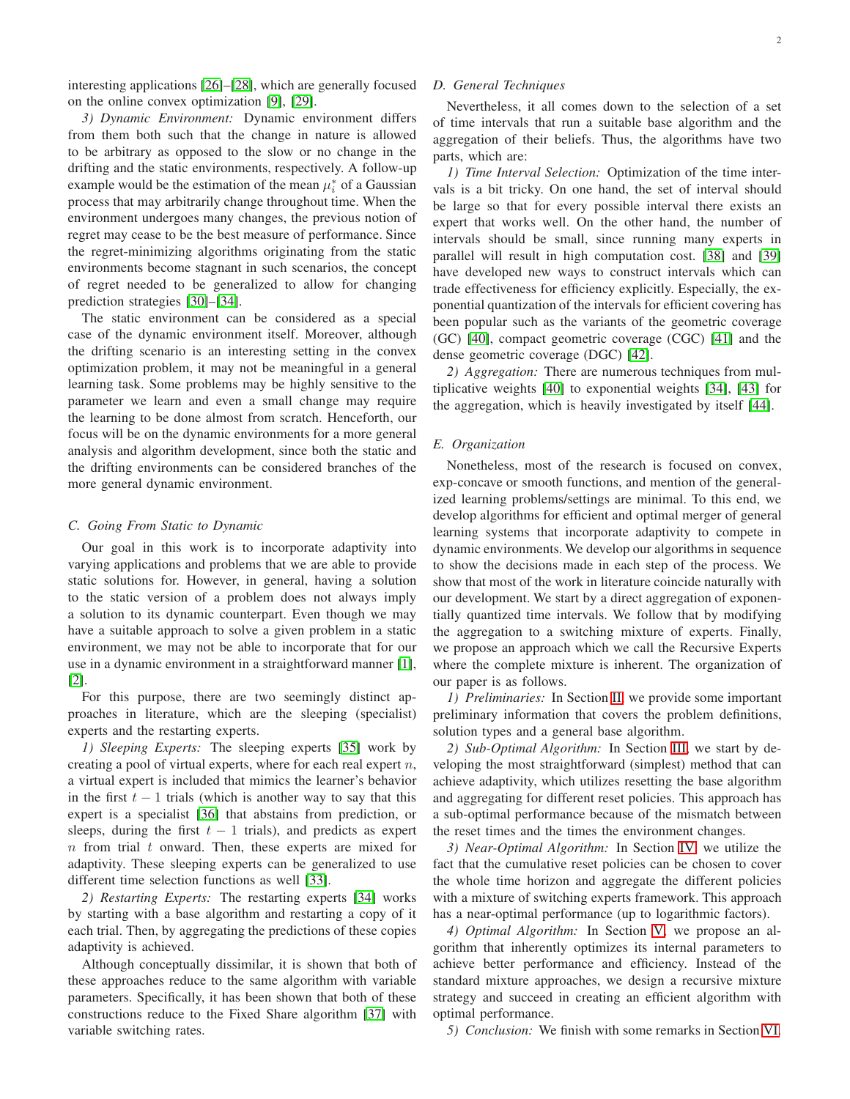interesting applications [\[26\]](#page-10-9)–[\[28\]](#page-10-10), which are generally focused on the online convex optimization [\[9\]](#page-9-8), [\[29\]](#page-10-11).

*3) Dynamic Environment:* Dynamic environment differs from them both such that the change in nature is allowed to be arbitrary as opposed to the slow or no change in the drifting and the static environments, respectively. A follow-up example would be the estimation of the mean  $\mu_i^*$  of a Gaussian process that may arbitrarily change throughout time. When the environment undergoes many changes, the previous notion of regret may cease to be the best measure of performance. Since the regret-minimizing algorithms originating from the static environments become stagnant in such scenarios, the concept of regret needed to be generalized to allow for changing prediction strategies [\[30\]](#page-10-12)–[\[34\]](#page-10-13).

The static environment can be considered as a special case of the dynamic environment itself. Moreover, although the drifting scenario is an interesting setting in the convex optimization problem, it may not be meaningful in a general learning task. Some problems may be highly sensitive to the parameter we learn and even a small change may require the learning to be done almost from scratch. Henceforth, our focus will be on the dynamic environments for a more general analysis and algorithm development, since both the static and the drifting environments can be considered branches of the more general dynamic environment.

#### *C. Going From Static to Dynamic*

Our goal in this work is to incorporate adaptivity into varying applications and problems that we are able to provide static solutions for. However, in general, having a solution to the static version of a problem does not always imply a solution to its dynamic counterpart. Even though we may have a suitable approach to solve a given problem in a static environment, we may not be able to incorporate that for our use in a dynamic environment in a straightforward manner [\[1\]](#page-9-0), [\[2\]](#page-9-1).

For this purpose, there are two seemingly distinct approaches in literature, which are the sleeping (specialist) experts and the restarting experts.

*1) Sleeping Experts:* The sleeping experts [\[35\]](#page-10-14) work by creating a pool of virtual experts, where for each real expert  $n$ , a virtual expert is included that mimics the learner's behavior in the first  $t - 1$  trials (which is another way to say that this expert is a specialist [\[36\]](#page-10-15) that abstains from prediction, or sleeps, during the first  $t - 1$  trials), and predicts as expert  $n$  from trial  $t$  onward. Then, these experts are mixed for adaptivity. These sleeping experts can be generalized to use different time selection functions as well [\[33\]](#page-10-16).

*2) Restarting Experts:* The restarting experts [\[34\]](#page-10-13) works by starting with a base algorithm and restarting a copy of it each trial. Then, by aggregating the predictions of these copies adaptivity is achieved.

Although conceptually dissimilar, it is shown that both of these approaches reduce to the same algorithm with variable parameters. Specifically, it has been shown that both of these constructions reduce to the Fixed Share algorithm [\[37\]](#page-10-17) with variable switching rates.

#### *D. General Techniques*

Nevertheless, it all comes down to the selection of a set of time intervals that run a suitable base algorithm and the aggregation of their beliefs. Thus, the algorithms have two parts, which are:

*1) Time Interval Selection:* Optimization of the time intervals is a bit tricky. On one hand, the set of interval should be large so that for every possible interval there exists an expert that works well. On the other hand, the number of intervals should be small, since running many experts in parallel will result in high computation cost. [\[38\]](#page-10-18) and [\[39\]](#page-10-19) have developed new ways to construct intervals which can trade effectiveness for efficiency explicitly. Especially, the exponential quantization of the intervals for efficient covering has been popular such as the variants of the geometric coverage (GC) [\[40\]](#page-10-20), compact geometric coverage (CGC) [\[41\]](#page-10-21) and the dense geometric coverage (DGC) [\[42\]](#page-10-22).

*2) Aggregation:* There are numerous techniques from multiplicative weights [\[40\]](#page-10-20) to exponential weights [\[34\]](#page-10-13), [\[43\]](#page-10-23) for the aggregation, which is heavily investigated by itself [\[44\]](#page-10-24).

#### *E. Organization*

Nonetheless, most of the research is focused on convex, exp-concave or smooth functions, and mention of the generalized learning problems/settings are minimal. To this end, we develop algorithms for efficient and optimal merger of general learning systems that incorporate adaptivity to compete in dynamic environments. We develop our algorithms in sequence to show the decisions made in each step of the process. We show that most of the work in literature coincide naturally with our development. We start by a direct aggregation of exponentially quantized time intervals. We follow that by modifying the aggregation to a switching mixture of experts. Finally, we propose an approach which we call the Recursive Experts where the complete mixture is inherent. The organization of our paper is as follows.

*1) Preliminaries:* In Section [II,](#page-2-0) we provide some important preliminary information that covers the problem definitions, solution types and a general base algorithm.

*2) Sub-Optimal Algorithm:* In Section [III,](#page-4-0) we start by developing the most straightforward (simplest) method that can achieve adaptivity, which utilizes resetting the base algorithm and aggregating for different reset policies. This approach has a sub-optimal performance because of the mismatch between the reset times and the times the environment changes.

*3) Near-Optimal Algorithm:* In Section [IV,](#page-5-0) we utilize the fact that the cumulative reset policies can be chosen to cover the whole time horizon and aggregate the different policies with a mixture of switching experts framework. This approach has a near-optimal performance (up to logarithmic factors).

*4) Optimal Algorithm:* In Section [V,](#page-7-0) we propose an algorithm that inherently optimizes its internal parameters to achieve better performance and efficiency. Instead of the standard mixture approaches, we design a recursive mixture strategy and succeed in creating an efficient algorithm with optimal performance.

*5) Conclusion:* We finish with some remarks in Section [VI.](#page-9-11)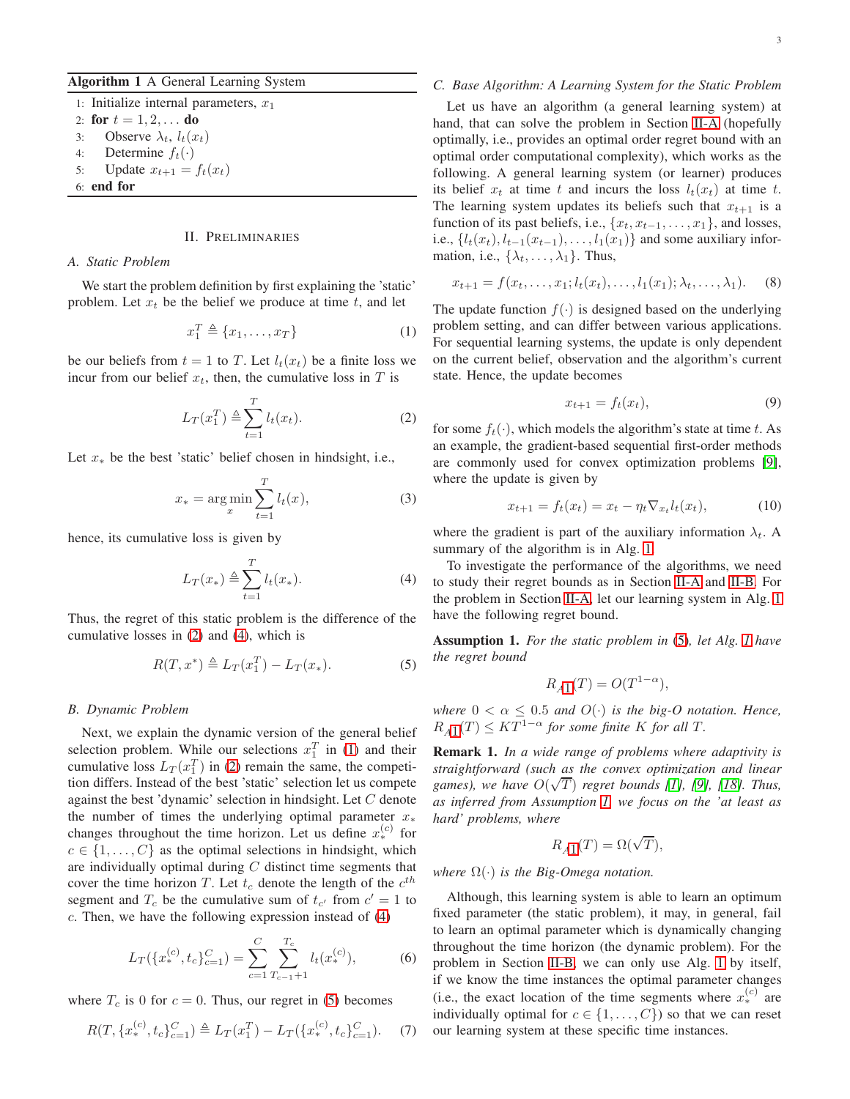#### <span id="page-2-6"></span>Algorithm 1 A General Learning System

1: Initialize internal parameters,  $x_1$ 

2: for  $t = 1, 2, ...$  do

- 3: Observe  $\lambda_t$ ,  $l_t(x_t)$
- 4: Determine  $f_t(\cdot)$
- 5: Update  $x_{t+1} = f_t(x_t)$
- <span id="page-2-0"></span>6: end for

#### II. PRELIMINARIES

#### <span id="page-2-5"></span>*A. Static Problem*

We start the problem definition by first explaining the 'static' problem. Let  $x_t$  be the belief we produce at time  $t$ , and let

$$
x_1^T \triangleq \{x_1, \dots, x_T\} \tag{1}
$$

be our beliefs from  $t = 1$  to T. Let  $l_t(x_t)$  be a finite loss we incur from our belief  $x_t$ , then, the cumulative loss in T is

$$
L_T(x_1^T) \triangleq \sum_{t=1}^T l_t(x_t). \tag{2}
$$

Let  $x_*$  be the best 'static' belief chosen in hindsight, i.e.,

$$
x_* = \underset{x}{\arg\min} \sum_{t=1}^T l_t(x),\tag{3}
$$

hence, its cumulative loss is given by

$$
L_T(x_*) \triangleq \sum_{t=1}^T l_t(x_*). \tag{4}
$$

Thus, the regret of this static problem is the difference of the cumulative losses in [\(2\)](#page-2-1) and [\(4\)](#page-2-2), which is

$$
R(T, x^*) \triangleq L_T(x_1^T) - L_T(x_*). \tag{5}
$$

#### <span id="page-2-7"></span>*B. Dynamic Problem*

Next, we explain the dynamic version of the general belief selection problem. While our selections  $x_1^T$  in [\(1\)](#page-2-3) and their cumulative loss  $L_T(x_1^T)$  in [\(2\)](#page-2-1) remain the same, the competition differs. Instead of the best 'static' selection let us compete against the best 'dynamic' selection in hindsight. Let C denote the number of times the underlying optimal parameter  $x_*$ changes throughout the time horizon. Let us define  $x_*^{(c)}$  for  $c \in \{1, \ldots, C\}$  as the optimal selections in hindsight, which are individually optimal during  $C$  distinct time segments that cover the time horizon T. Let  $t_c$  denote the length of the  $c^{th}$ segment and  $T_c$  be the cumulative sum of  $t_{c'}$  from  $c' = 1$  to  $c$ . Then, we have the following expression instead of  $(4)$ 

$$
L_T(\{x_*^{(c)}, t_c\}_{c=1}^C) = \sum_{c=1}^C \sum_{T_{c-1}+1}^{T_c} l_t(x_*^{(c)}),
$$
 (6)

where  $T_c$  is 0 for  $c = 0$ . Thus, our regret in [\(5\)](#page-2-4) becomes

$$
R(T, \{x_*^{(c)}, t_c\}_{c=1}^C) \triangleq L_T(x_1^T) - L_T(\{x_*^{(c)}, t_c\}_{c=1}^C). \tag{7}
$$

#### *C. Base Algorithm: A Learning System for the Static Problem*

Let us have an algorithm (a general learning system) at hand, that can solve the problem in Section [II-A](#page-2-5) (hopefully optimally, i.e., provides an optimal order regret bound with an optimal order computational complexity), which works as the following. A general learning system (or learner) produces its belief  $x_t$  at time t and incurs the loss  $l_t(x_t)$  at time t. The learning system updates its beliefs such that  $x_{t+1}$  is a function of its past beliefs, i.e.,  $\{x_t, x_{t-1}, \ldots, x_1\}$ , and losses, i.e.,  ${l_t(x_t), l_{t-1}(x_{t-1}), \ldots, l_1(x_1)}$  and some auxiliary information, i.e.,  $\{\lambda_t, \ldots, \lambda_1\}$ . Thus,

$$
x_{t+1} = f(x_t, \dots, x_1; l_t(x_t), \dots, l_1(x_1); \lambda_t, \dots, \lambda_1).
$$
 (8)

<span id="page-2-3"></span>The update function  $f(.)$  is designed based on the underlying problem setting, and can differ between various applications. For sequential learning systems, the update is only dependent on the current belief, observation and the algorithm's current state. Hence, the update becomes

$$
x_{t+1} = f_t(x_t),\tag{9}
$$

<span id="page-2-1"></span>for some  $f_t(\cdot)$ , which models the algorithm's state at time t. As an example, the gradient-based sequential first-order methods are commonly used for convex optimization problems [\[9\]](#page-9-8), where the update is given by

$$
x_{t+1} = f_t(x_t) = x_t - \eta_t \nabla_{x_t} l_t(x_t),
$$
 (10)

where the gradient is part of the auxiliary information  $\lambda_t$ . A summary of the algorithm is in Alg. [1.](#page-2-6)

<span id="page-2-2"></span>To investigate the performance of the algorithms, we need to study their regret bounds as in Section [II-A](#page-2-5) and [II-B.](#page-2-7) For the problem in Section [II-A,](#page-2-5) let our learning system in Alg. [1](#page-2-6) have the following regret bound.

<span id="page-2-8"></span><span id="page-2-4"></span>Assumption 1. *For the static problem in* [\(5\)](#page-2-4)*, let Alg. [1](#page-2-6) have the regret bound*

$$
R_{A1}(T) = O(T^{1-\alpha}),
$$

*where*  $0 < \alpha \leq 0.5$  *and*  $O(\cdot)$  *is the big-O notation. Hence,*  $R_{A1}(T) \leq KT^{1-\alpha}$  $R_{A1}(T) \leq KT^{1-\alpha}$  $R_{A1}(T) \leq KT^{1-\alpha}$  *for some finite* K *for all* T.

Remark 1. *In a wide range of problems where adaptivity is straightforward (such as the convex optimization and linear games), we have*  $O(\sqrt{T})$  *regret bounds* [\[1\]](#page-9-0), [\[9\]](#page-9-8), [\[18\]](#page-10-3). Thus, *as inferred from Assumption [1,](#page-2-8) we focus on the 'at least as hard' problems, where*

$$
R_{A1}(T) = \Omega(\sqrt{T}),
$$

*where* Ω(·) *is the Big-Omega notation.*

<span id="page-2-9"></span>Although, this learning system is able to learn an optimum fixed parameter (the static problem), it may, in general, fail to learn an optimal parameter which is dynamically changing throughout the time horizon (the dynamic problem). For the problem in Section [II-B,](#page-2-7) we can only use Alg. [1](#page-2-6) by itself, if we know the time instances the optimal parameter changes (i.e., the exact location of the time segments where  $x_*^{(c)}$  are individually optimal for  $c \in \{1, \ldots, C\}$  so that we can reset our learning system at these specific time instances.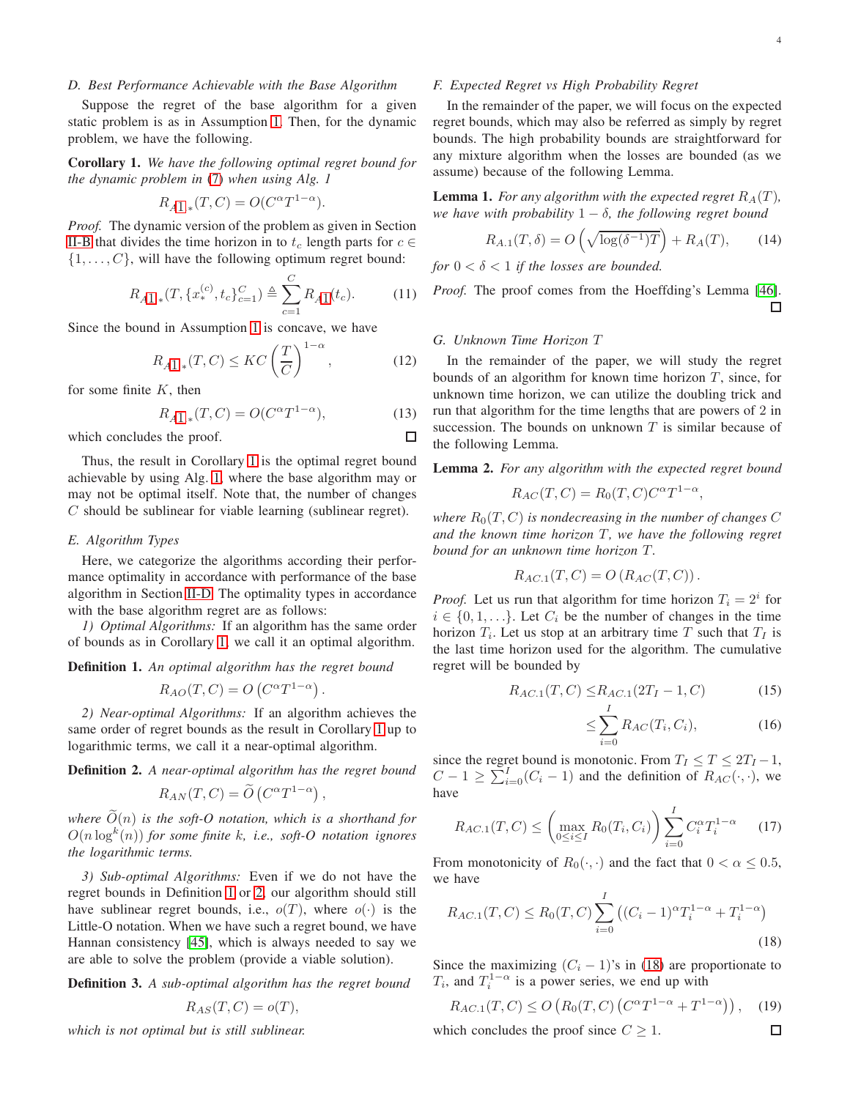#### <span id="page-3-1"></span>*D. Best Performance Achievable with the Base Algorithm*

Suppose the regret of the base algorithm for a given static problem is as in Assumption [1.](#page-2-8) Then, for the dynamic problem, we have the following.

<span id="page-3-0"></span>Corollary 1. *We have the following optimal regret bound for the dynamic problem in* [\(7\)](#page-2-9) *when using Alg. 1*

$$
R_{A1.*}(T,C) = O(C^{\alpha}T^{1-\alpha}).
$$

*Proof.* The dynamic version of the problem as given in Section [II-B](#page-2-7) that divides the time horizon in to  $t_c$  length parts for  $c \in$  $\{1, \ldots, C\}$ , will have the following optimum regret bound:

$$
R_{A1,*}(T, \{x_*^{(c)}, t_c\}_{c=1}^C) \triangleq \sum_{c=1}^C R_{A1}(t_c). \tag{11}
$$

Since the bound in Assumption [1](#page-2-8) is concave, we have

$$
R_{A1.*}(T,C) \leq KC \left(\frac{T}{C}\right)^{1-\alpha},\tag{12}
$$

for some finite  $K$ , then

$$
R_{A1.*}(T,C) = O(C^{\alpha}T^{1-\alpha}),\tag{13}
$$

which concludes the proof.

Thus, the result in Corollary [1](#page-3-0) is the optimal regret bound achievable by using Alg. [1,](#page-2-6) where the base algorithm may or may not be optimal itself. Note that, the number of changes  $C$  should be sublinear for viable learning (sublinear regret).

#### *E. Algorithm Types*

Here, we categorize the algorithms according their performance optimality in accordance with performance of the base algorithm in Section [II-D.](#page-3-1) The optimality types in accordance with the base algorithm regret are as follows:

*1) Optimal Algorithms:* If an algorithm has the same order of bounds as in Corollary [1,](#page-3-0) we call it an optimal algorithm.

#### <span id="page-3-2"></span>Definition 1. *An optimal algorithm has the regret bound*

$$
R_{AO}(T, C) = O\left(C^{\alpha}T^{1-\alpha}\right)
$$

.

*2) Near-optimal Algorithms:* If an algorithm achieves the same order of regret bounds as the result in Corollary [1](#page-3-0) up to logarithmic terms, we call it a near-optimal algorithm.

<span id="page-3-3"></span>Definition 2. *A near-optimal algorithm has the regret bound*

$$
R_{AN}(T, C) = \widetilde{O}\left(C^{\alpha}T^{1-\alpha}\right),\,
$$

*where*  $\tilde{O}(n)$  *is the soft-O notation, which is a shorthand for*  $O(n \log^k(n))$  for some finite k, i.e., soft-O notation ignores *the logarithmic terms.*

*3) Sub-optimal Algorithms:* Even if we do not have the regret bounds in Definition [1](#page-3-2) or [2,](#page-3-3) our algorithm should still have sublinear regret bounds, i.e.,  $o(T)$ , where  $o(\cdot)$  is the Little-O notation. When we have such a regret bound, we have Hannan consistency [\[45\]](#page-10-25), which is always needed to say we are able to solve the problem (provide a viable solution).

Definition 3. *A sub-optimal algorithm has the regret bound*

$$
R_{AS}(T, C) = o(T),
$$

*which is not optimal but is still sublinear.*

#### *F. Expected Regret vs High Probability Regret*

In the remainder of the paper, we will focus on the expected regret bounds, which may also be referred as simply by regret bounds. The high probability bounds are straightforward for any mixture algorithm when the losses are bounded (as we assume) because of the following Lemma.

**Lemma 1.** For any algorithm with the expected regret  $R_A(T)$ , *we have with probability*  $1 - \delta$ *, the following regret bound* 

$$
R_{A.1}(T,\delta) = O\left(\sqrt{\log(\delta^{-1})T}\right) + R_A(T),\qquad(14)
$$

*for*  $0 < \delta < 1$  *if the losses are bounded.* 

*Proof.* The proof comes from the Hoeffding's Lemma [\[46\]](#page-10-26). □

#### *G. Unknown Time Horizon* T

 $\Box$ 

In the remainder of the paper, we will study the regret bounds of an algorithm for known time horizon  $T$ , since, for unknown time horizon, we can utilize the doubling trick and run that algorithm for the time lengths that are powers of 2 in succession. The bounds on unknown  $T$  is similar because of the following Lemma.

Lemma 2. *For any algorithm with the expected regret bound*

$$
R_{AC}(T, C) = R_0(T, C)C^{\alpha}T^{1-\alpha},
$$

*where*  $R_0(T, C)$  *is nondecreasing in the number of changes*  $C$ *and the known time horizon* T, we have the following regret *bound for an unknown time horizon* T *.*

$$
R_{AC.1}(T, C) = O\left(R_{AC}(T, C)\right).
$$

*Proof.* Let us run that algorithm for time horizon  $T_i = 2^i$  for  $i \in \{0, 1, \ldots\}$ . Let  $C_i$  be the number of changes in the time horizon  $T_i$ . Let us stop at an arbitrary time T such that  $T_I$  is the last time horizon used for the algorithm. The cumulative regret will be bounded by

$$
R_{AC.1}(T, C) \le R_{AC.1}(2T_I - 1, C)
$$
\n(15)

$$
\leq \sum_{i=0}^{I} R_{AC}(T_i, C_i),\tag{16}
$$

<span id="page-3-4"></span> $\Box$ 

since the regret bound is monotonic. From  $T_I \leq T \leq 2T_I - 1$ ,  $C - 1 \ge \sum_{i=0}^{I} (C_i - 1)$  and the definition of  $R_{AC}(\cdot, \cdot)$ , we have

$$
R_{AC.1}(T, C) \le \left(\max_{0 \le i \le I} R_0(T_i, C_i)\right) \sum_{i=0}^{I} C_i^{\alpha} T_i^{1-\alpha} \tag{17}
$$

From monotonicity of  $R_0(\cdot, \cdot)$  and the fact that  $0 < \alpha \leq 0.5$ , we have

$$
R_{AC.1}(T, C) \le R_0(T, C) \sum_{i=0}^{I} \left( (C_i - 1)^{\alpha} T_i^{1-\alpha} + T_i^{1-\alpha} \right)
$$
\n(18)

Since the maximizing  $(C_i - 1)$ 's in [\(18\)](#page-3-4) are proportionate to  $T_i$ , and  $T_i^{1-\alpha}$  is a power series, we end up with

$$
R_{AC.1}(T, C) \le O\left(R_0(T, C)\left(C^{\alpha}T^{1-\alpha} + T^{1-\alpha}\right)\right), \quad (19)
$$

which concludes the proof since  $C \geq 1$ .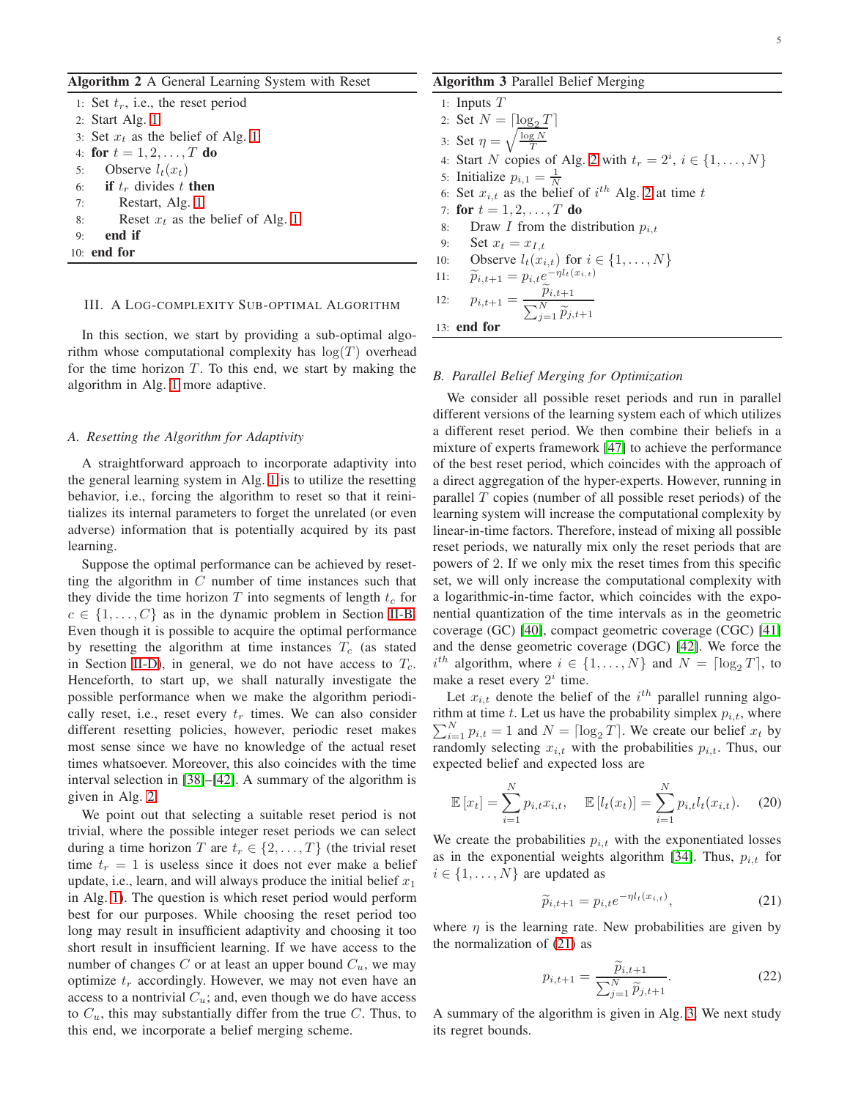<span id="page-4-1"></span>

| <b>Algorithm 2</b> A General Learning System with Reset |
|---------------------------------------------------------|
| 1: Set $t_r$ , i.e., the reset period                   |
| 2: Start Alg. $1$                                       |
| 3: Set $x_t$ as the belief of Alg. 1                    |
| 4: for $t = 1, 2, , T$ do                               |
| Observe $l_t(x_t)$<br>5:                                |
| 6: if $t_r$ divides t then                              |
| Restart, Alg. 1<br>7:                                   |
| Reset $x_t$ as the belief of Alg. 1<br>8:               |
| end if<br>9:                                            |
| 10: end for                                             |
|                                                         |

#### <span id="page-4-0"></span>III. A LOG-COMPLEXITY SUB-OPTIMAL ALGORITHM

In this section, we start by providing a sub-optimal algorithm whose computational complexity has  $log(T)$  overhead for the time horizon  $T$ . To this end, we start by making the algorithm in Alg. [1](#page-2-6) more adaptive.

#### *A. Resetting the Algorithm for Adaptivity*

A straightforward approach to incorporate adaptivity into the general learning system in Alg. [1](#page-2-6) is to utilize the resetting behavior, i.e., forcing the algorithm to reset so that it reinitializes its internal parameters to forget the unrelated (or even adverse) information that is potentially acquired by its past learning.

Suppose the optimal performance can be achieved by resetting the algorithm in  $C$  number of time instances such that they divide the time horizon T into segments of length  $t_c$  for  $c \in \{1, \ldots, C\}$  as in the dynamic problem in Section [II-B.](#page-2-7) Even though it is possible to acquire the optimal performance by resetting the algorithm at time instances  $T_c$  (as stated in Section [II-D\)](#page-3-1), in general, we do not have access to  $T_c$ . Henceforth, to start up, we shall naturally investigate the possible performance when we make the algorithm periodically reset, i.e., reset every  $t_r$  times. We can also consider different resetting policies, however, periodic reset makes most sense since we have no knowledge of the actual reset times whatsoever. Moreover, this also coincides with the time interval selection in [\[38\]](#page-10-18)–[\[42\]](#page-10-22). A summary of the algorithm is given in Alg. [2.](#page-4-1)

We point out that selecting a suitable reset period is not trivial, where the possible integer reset periods we can select during a time horizon T are  $t_r \in \{2, \ldots, T\}$  (the trivial reset time  $t_r = 1$  is useless since it does not ever make a belief update, i.e., learn, and will always produce the initial belief  $x_1$ in Alg. [1\)](#page-2-6). The question is which reset period would perform best for our purposes. While choosing the reset period too long may result in insufficient adaptivity and choosing it too short result in insufficient learning. If we have access to the number of changes  $C$  or at least an upper bound  $C_u$ , we may optimize  $t_r$  accordingly. However, we may not even have an access to a nontrivial  $C_u$ ; and, even though we do have access to  $C_u$ , this may substantially differ from the true C. Thus, to this end, we incorporate a belief merging scheme.

#### <span id="page-4-3"></span>Algorithm 3 Parallel Belief Merging

1: Inputs T 2: Set  $N = \lceil \log_2 T \rceil$ 3: Set  $\eta = \sqrt{\frac{\log N}{T}}$ 4: Start N copies of Alg. [2](#page-4-1) with  $t_r = 2^i$ ,  $i \in \{1, \ldots, N\}$ 5: Initialize  $p_{i,1} = \frac{1}{N}$ 6: Set  $x_{i,t}$  as the belief of  $i^{th}$  Alg. [2](#page-4-1) at time t 7: for  $t = 1, 2, ..., T$  do 8: Draw I from the distribution  $p_{i,t}$ 9: Set  $x_t = x_{I,t}$ 10: **Observe**  $l_t(x_{i,t})$  for  $i \in \{1, ..., N\}$ <br>11:  $\tilde{p}_{i,t+1} = p_{i,t}e^{-\eta l_t(x_{i,t})}$ 11:  $\widetilde{p}_{i,t+1} = p_{i,t} e^{-\eta l_t(x_{i,t})}$ 12:  $p_{i,t+1} = \frac{\widetilde{p}_{i,t+1}}{\sum_{N}^{N}}$  $\sum_{j=1}^{N} \widetilde{p}_{j,t+1}$ 13: end for

#### <span id="page-4-4"></span>*B. Parallel Belief Merging for Optimization*

We consider all possible reset periods and run in parallel different versions of the learning system each of which utilizes a different reset period. We then combine their beliefs in a mixture of experts framework [\[47\]](#page-10-27) to achieve the performance of the best reset period, which coincides with the approach of a direct aggregation of the hyper-experts. However, running in parallel  $T$  copies (number of all possible reset periods) of the learning system will increase the computational complexity by linear-in-time factors. Therefore, instead of mixing all possible reset periods, we naturally mix only the reset periods that are powers of 2. If we only mix the reset times from this specific set, we will only increase the computational complexity with a logarithmic-in-time factor, which coincides with the exponential quantization of the time intervals as in the geometric coverage (GC) [\[40\]](#page-10-20), compact geometric coverage (CGC) [\[41\]](#page-10-21) and the dense geometric coverage (DGC) [\[42\]](#page-10-22). We force the  $i^{th}$  algorithm, where  $i \in \{1, ..., N\}$  and  $N = \lceil \log_2 T \rceil$ , to make a reset every  $2^i$  time.

Let  $x_{i,t}$  denote the belief of the  $i^{th}$  parallel running algo- $\sum_{i=1}^{N} p_{i,t} = 1$  and  $N = \lceil \log_2 T \rceil$ . We create our belief  $x_t$  by rithm at time  $t$ . Let us have the probability simplex  $p_{i,t}$ , where randomly selecting  $x_{i,t}$  with the probabilities  $p_{i,t}$ . Thus, our expected belief and expected loss are

$$
\mathbb{E}[x_t] = \sum_{i=1}^{N} p_{i,t} x_{i,t}, \quad \mathbb{E}[l_t(x_t)] = \sum_{i=1}^{N} p_{i,t} l_t(x_{i,t}). \quad (20)
$$

We create the probabilities  $p_{i,t}$  with the exponentiated losses as in the exponential weights algorithm [\[34\]](#page-10-13). Thus,  $p_{i,t}$  for  $i \in \{1, \ldots, N\}$  are updated as

<span id="page-4-2"></span>
$$
\widetilde{p}_{i,t+1} = p_{i,t} e^{-\eta l_t(x_{i,t})},\tag{21}
$$

where  $\eta$  is the learning rate. New probabilities are given by the normalization of [\(21\)](#page-4-2) as

$$
p_{i,t+1} = \frac{\tilde{p}_{i,t+1}}{\sum_{j=1}^{N} \tilde{p}_{j,t+1}}.
$$
 (22)

A summary of the algorithm is given in Alg. [3.](#page-4-3) We next study its regret bounds.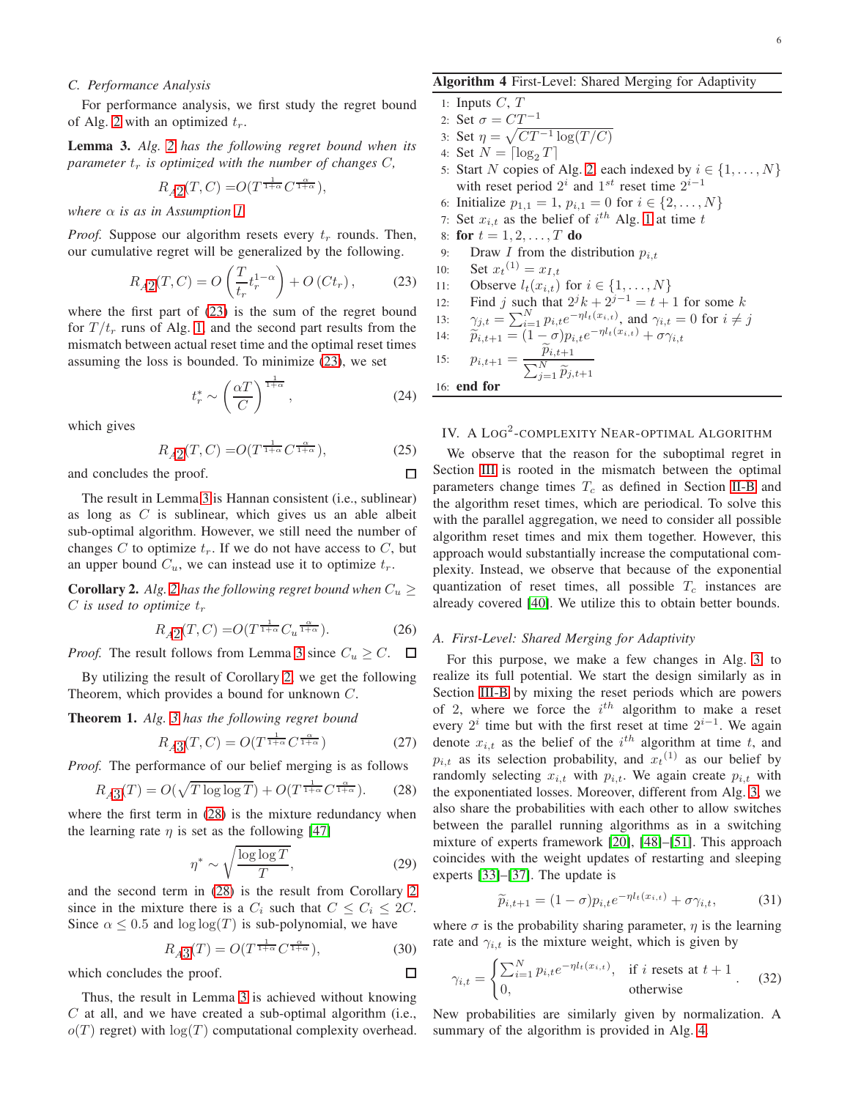#### *C. Performance Analysis*

For performance analysis, we first study the regret bound of Alg. [2](#page-4-1) with an optimized  $t_r$ .

<span id="page-5-2"></span>Lemma 3. *Alg. [2](#page-4-1) has the following regret bound when its parameter*  $t_r$  *is optimized with the number of changes*  $C$ *,* 

$$
R_{A2}(T,C) = O(T^{\frac{1}{1+\alpha}}C^{\frac{\alpha}{1+\alpha}}),
$$

*where*  $\alpha$  *is as in Assumption [1.](#page-2-8)* 

*Proof.* Suppose our algorithm resets every  $t_r$  rounds. Then, our cumulative regret will be generalized by the following.

$$
R_{A2}(T,C) = O\left(\frac{T}{t_r}t_r^{1-\alpha}\right) + O\left(Ct_r\right),\tag{23}
$$

where the first part of [\(23\)](#page-5-1) is the sum of the regret bound for  $T/t_r$  runs of Alg. [1,](#page-2-6) and the second part results from the mismatch between actual reset time and the optimal reset times assuming the loss is bounded. To minimize [\(23\)](#page-5-1), we set

$$
t_r^* \sim \left(\frac{\alpha T}{C}\right)^{\frac{1}{1+\alpha}},\tag{24}
$$

which gives

$$
R_{A2}(T, C) = O(T^{\frac{1}{1+\alpha}} C^{\frac{\alpha}{1+\alpha}}),\tag{25}
$$

and concludes the proof.

The result in Lemma [3](#page-5-2) is Hannan consistent (i.e., sublinear) as long as  $C$  is sublinear, which gives us an able albeit sub-optimal algorithm. However, we still need the number of changes C to optimize  $t_r$ . If we do not have access to C, but an upper bound  $C_u$ , we can instead use it to optimize  $t_r$ .

<span id="page-5-3"></span>**Corollary [2](#page-4-1).** *Alg.* 2 has the following regret bound when  $C_u \geq$  $C$  *is used to optimize*  $t_r$ 

$$
R_{A2}(T, C) = O(T^{\frac{1}{1+\alpha}} C_u^{\frac{\alpha}{1+\alpha}}).
$$
 (26)

*Proof.* The result follows from Lemma [3](#page-5-2) since  $C_u \geq C$ .  $\Box$ 

By utilizing the result of Corollary [2,](#page-5-3) we get the following Theorem, which provides a bound for unknown C.

<span id="page-5-6"></span>Theorem 1. *Alg. [3](#page-4-3) has the following regret bound*

$$
R_{A3}(T, C) = O(T^{\frac{1}{1+\alpha}} C^{\frac{\alpha}{1+\alpha}})
$$
 (27)

*Proof.* The performance of our belief merging is as follows

$$
R_{A3}(T) = O(\sqrt{T \log \log T}) + O(T^{\frac{1}{1+\alpha}}C^{\frac{\alpha}{1+\alpha}}).
$$
 (28)

where the first term in  $(28)$  is the mixture redundancy when the learning rate  $\eta$  is set as the following [\[47\]](#page-10-27)

$$
\eta^* \sim \sqrt{\frac{\log \log T}{T}},\tag{29}
$$

and the second term in [\(28\)](#page-5-4) is the result from Corollary [2](#page-5-3) since in the mixture there is a  $C_i$  such that  $C \leq C_i \leq 2C$ . Since  $\alpha \leq 0.5$  and  $\log \log(T)$  is sub-polynomial, we have

$$
R_{A3}(T) = O(T^{\frac{1}{1+\alpha}}C^{\frac{\alpha}{1+\alpha}}),\tag{30}
$$

which concludes the proof.

Thus, the result in Lemma [3](#page-5-2) is achieved without knowing  $C$  at all, and we have created a sub-optimal algorithm (i.e.,  $o(T)$  regret) with  $log(T)$  computational complexity overhead.

#### <span id="page-5-5"></span>Algorithm 4 First-Level: Shared Merging for Adaptivity

1: Inputs 
$$
C, T
$$

2: Set 
$$
\sigma = CT^{-1}
$$

- 3: Set  $\eta = \sqrt{CT^{-1} \log(T / C)}$
- 4: Set  $N = \lceil \log_2 T \rceil$
- 5: Start N copies of Alg. [2,](#page-4-1) each indexed by  $i \in \{1, \ldots, N\}$ with reset period  $2^i$  and  $1^{st}$  reset time  $2^{i-1}$
- 6: Initialize  $p_{1,1} = 1$ ,  $p_{i,1} = 0$  for  $i \in \{2, ..., N\}$
- 7: Set  $x_{i,t}$  as the belief of  $i^{th}$  Alg. [1](#page-2-6) at time t
- 8: for  $t = 1, 2, ..., T$  do
- 9: Draw *I* from the distribution  $p_{i,t}$
- 10: Set  $x_t^{(1)} = x_{I,t}$
- <span id="page-5-1"></span>11: Observe  $l_t(x_{i,t})$  for  $i \in \{1, ..., N\}$ <br>12: Find j such that  $2^{j}k + 2^{j-1} = t +$
- 12: Find j such that  $2^{j}k + 2^{j-1} = t + 1$  for some k
- 13:  $\gamma_{j,t} = \sum_{i=1}^{N} p_{i,t} e^{-\eta l_t(x_{i,t})}$ , and  $\gamma_{i,t} = 0$  for  $i \neq j$

14: 
$$
\widetilde{p}_{i,t+1} = (1-\sigma)p_{i,t}e^{-\eta l_t(x_{i,t})} + \sigma \gamma_{i,t}
$$

15: 
$$
p_{i,t+1} = \frac{\widetilde{p}_{i,t+1}}{\sum_{i=1}^{N} \widetilde{p}_{i,t+1}}
$$

16: end for

П

 $\Box$ 

### <span id="page-5-0"></span>IV. A LOG<sup>2</sup>-COMPLEXITY NEAR-OPTIMAL ALGORITHM

We observe that the reason for the suboptimal regret in Section [III](#page-4-0) is rooted in the mismatch between the optimal parameters change times  $T_c$  as defined in Section [II-B](#page-2-7) and the algorithm reset times, which are periodical. To solve this with the parallel aggregation, we need to consider all possible algorithm reset times and mix them together. However, this approach would substantially increase the computational complexity. Instead, we observe that because of the exponential quantization of reset times, all possible  $T_c$  instances are already covered [\[40\]](#page-10-20). We utilize this to obtain better bounds.

#### *A. First-Level: Shared Merging for Adaptivity*

<span id="page-5-4"></span>For this purpose, we make a few changes in Alg. [3,](#page-4-3) to realize its full potential. We start the design similarly as in Section [III-B](#page-4-4) by mixing the reset periods which are powers of 2, where we force the  $i^{th}$  algorithm to make a reset every  $2^{i}$  time but with the first reset at time  $2^{i-1}$ . We again denote  $x_{i,t}$  as the belief of the  $i^{th}$  algorithm at time t, and  $p_{i,t}$  as its selection probability, and  $x_t^{(1)}$  as our belief by randomly selecting  $x_{i,t}$  with  $p_{i,t}$ . We again create  $p_{i,t}$  with the exponentiated losses. Moreover, different from Alg. [3,](#page-4-3) we also share the probabilities with each other to allow switches between the parallel running algorithms as in a switching mixture of experts framework [\[20\]](#page-10-4), [\[48\]](#page-10-28)–[\[51\]](#page-10-29). This approach coincides with the weight updates of restarting and sleeping experts [\[33\]](#page-10-16)–[\[37\]](#page-10-17). The update is

$$
\widetilde{p}_{i,t+1} = (1 - \sigma) p_{i,t} e^{-\eta l_t(x_{i,t})} + \sigma \gamma_{i,t}, \qquad (31)
$$

where  $\sigma$  is the probability sharing parameter,  $\eta$  is the learning rate and  $\gamma_{i,t}$  is the mixture weight, which is given by

$$
\gamma_{i,t} = \begin{cases} \sum_{i=1}^{N} p_{i,t} e^{-\eta l_t(x_{i,t})}, & \text{if } i \text{ resets at } t+1\\ 0, & \text{otherwise} \end{cases}
$$
 (32)

New probabilities are similarly given by normalization. A summary of the algorithm is provided in Alg. [4.](#page-5-5)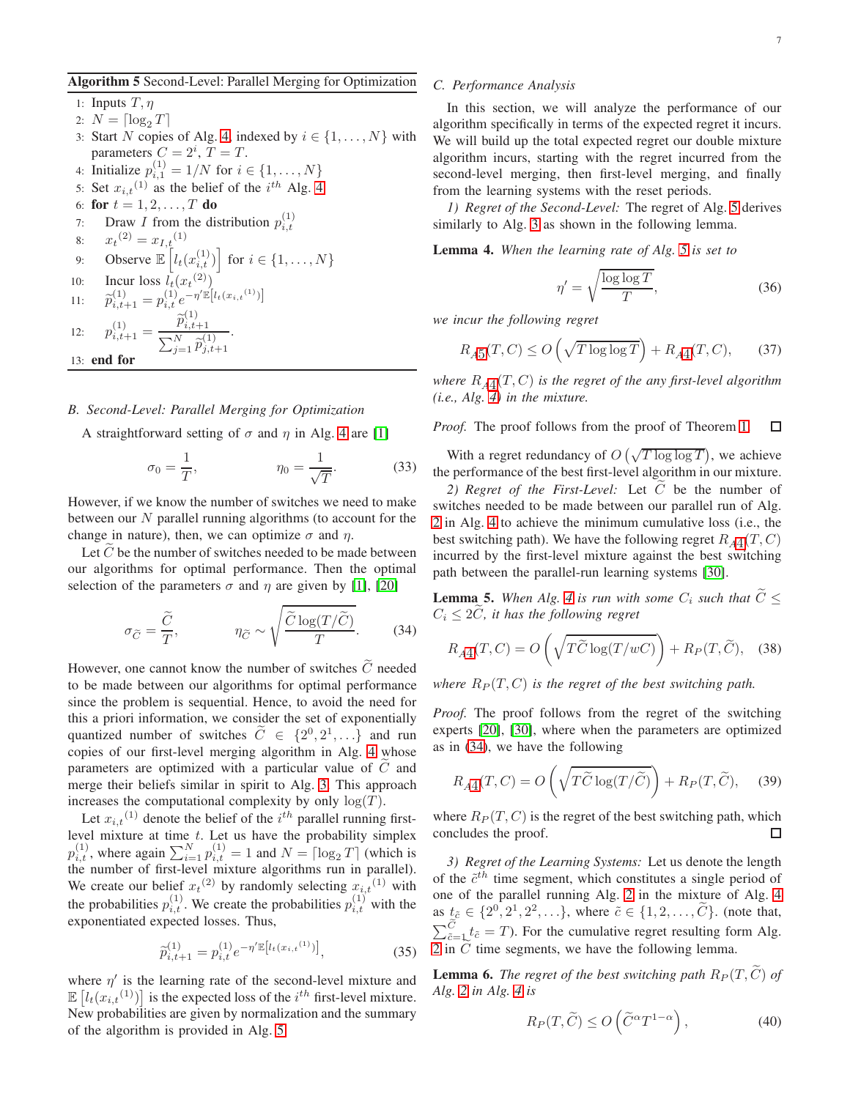#### <span id="page-6-0"></span>Algorithm 5 Second-Level: Parallel Merging for Optimization

1: Inputs  $T, \eta$ 

- 2:  $N = \lceil \log_2 T \rceil$
- 3: Start N copies of Alg. [4,](#page-5-5) indexed by  $i \in \{1, \ldots, N\}$  with parameters  $C = 2^i$ ,  $T = T$ .
- 4: Initialize  $p_{i,1}^{(1)} = 1/N$  for  $i \in \{1, ..., N\}$
- 5: Set  $x_{i,t}$ <sup>(1)</sup> as the belief of the  $i^{th}$  Alg. [4](#page-5-5)
- 6: for  $t = 1, 2, ..., T$  do
- 7: Draw *I* from the distribution  $p_{i,t}^{(1)}$ i,t
- 8:  $x_t^{(2)} = x_{I,t}^{(1)}$ 9: Observe  $\mathbb{E}\left[l_t(x_{i,t}^{(1)})\right]$  for  $i \in \{1, \ldots, N\}$
- 10: Incur loss  $l_t(x_t^{(2)})$
- 11:  $\widetilde{p}_{i,t+1}^{(1)} = p_{i,t}^{(1)} e^{-\eta' \mathbb{E}[l_t(x_{i,t}^{(1)})]}$

12:  $p_{i,t+1}^{(1)} = \frac{\widetilde{p}_{i,t+1}^{(1)}}{\sum_{i} N_{i}^{(1)}}$ (1)

 $\sum_{j=1}^{N} \widetilde{p}_{j,t+1}^{(1)}$ 13: end for

#### *B. Second-Level: Parallel Merging for Optimization*

A straightforward setting of  $\sigma$  and  $\eta$  in Alg. [4](#page-5-5) are [\[1\]](#page-9-0)

.

$$
\sigma_0 = \frac{1}{T}, \qquad \eta_0 = \frac{1}{\sqrt{T}}.
$$
 (33)

However, if we know the number of switches we need to make between our  $N$  parallel running algorithms (to account for the change in nature), then, we can optimize  $\sigma$  and  $\eta$ .

Let  $\tilde{C}$  be the number of switches needed to be made between our algorithms for optimal performance. Then the optimal selection of the parameters  $\sigma$  and  $\eta$  are given by [\[1\]](#page-9-0), [\[20\]](#page-10-4)

$$
\sigma_{\widetilde{C}} = \frac{\widetilde{C}}{T}, \qquad \eta_{\widetilde{C}} \sim \sqrt{\frac{\widetilde{C}\log(T/\widetilde{C})}{T}}.
$$
 (34)

However, one cannot know the number of switches  $\ddot{C}$  needed to be made between our algorithms for optimal performance since the problem is sequential. Hence, to avoid the need for this a priori information, we consider the set of exponentially quantized number of switches  $\tilde{C} \in \{2^0, 2^1, ...\}$  and run copies of our first-level merging algorithm in Alg. [4](#page-5-5) whose parameters are optimized with a particular value of  $C$  and merge their beliefs similar in spirit to Alg. [3.](#page-4-3) This approach increases the computational complexity by only  $log(T)$ .

Let  $x_{i,t}$ <sup>(1)</sup> denote the belief of the  $i^{th}$  parallel running firstlevel mixture at time  $t$ . Let us have the probability simplex  $p_{i,t}^{(1)}$ , where again  $\sum_{i=1}^{N} p_{i,t}^{(1)} = 1$  and  $N = \lceil \log_2 T \rceil$  (which is the number of first-level mixture algorithms run in parallel). We create our belief  $x_t^{(2)}$  by randomly selecting  $x_{i,t}^{(1)}$  with the probabilities  $p_{i,t}^{(1)}$ . We create the probabilities  $p_{i,t}^{(1)}$  with the exponentiated expected losses. Thus,

$$
\widetilde{p}_{i,t+1}^{(1)} = p_{i,t}^{(1)} e^{-\eta' \mathbb{E}[l_t(x_{i,t}^{(1)})]},\tag{35}
$$

where  $\eta'$  is the learning rate of the second-level mixture and  $\mathbb{E}\left[l_t(x_{i,t}^{(1)})\right]$  is the expected loss of the  $i^{th}$  first-level mixture. New probabilities are given by normalization and the summary of the algorithm is provided in Alg. [5.](#page-6-0)

#### *C. Performance Analysis*

In this section, we will analyze the performance of our algorithm specifically in terms of the expected regret it incurs. We will build up the total expected regret our double mixture algorithm incurs, starting with the regret incurred from the second-level merging, then first-level merging, and finally from the learning systems with the reset periods.

*1) Regret of the Second-Level:* The regret of Alg. [5](#page-6-0) derives similarly to Alg. [3](#page-4-3) as shown in the following lemma.

<span id="page-6-2"></span>Lemma 4. *When the learning rate of Alg. [5](#page-6-0) is set to*

$$
\eta' = \sqrt{\frac{\log \log T}{T}},\tag{36}
$$

*we incur the following regret*

$$
R_{A5}(T, C) \le O\left(\sqrt{T \log \log T}\right) + R_{A4}(T, C),\qquad(37)
$$

where  $R_{A4}(T, C)$  $R_{A4}(T, C)$  $R_{A4}(T, C)$  is the regret of the any first-level algorithm *(i.e., Alg. [4\)](#page-5-5) in the mixture.*

*Proof.* The proof follows from the proof of Theorem [1.](#page-5-6)  $\Box$ 

With a regret redundancy of  $O(\sqrt{T \log \log T})$ , we achieve the performance of the best first-level algorithm in our mixture.

2) Regret of the First-Level: Let  $\tilde{C}$  be the number of switches needed to be made between our parallel run of Alg. [2](#page-4-1) in Alg. [4](#page-5-5) to achieve the minimum cumulative loss (i.e., the best switching path). We have the following regret  $R_{A4}(T, C)$  $R_{A4}(T, C)$  $R_{A4}(T, C)$ incurred by the first-level mixture against the best switching path between the parallel-run learning systems [\[30\]](#page-10-12).

<span id="page-6-3"></span><span id="page-6-1"></span>**Lemma 5.** When Alg. [4](#page-5-5) is run with some  $C_i$  such that  $\widetilde{C} \leq$  $C_i \leq 2C$ *, it has the following regret* 

$$
R_{A4}(T, C) = O\left(\sqrt{T\widetilde{C}\log(T/wC)}\right) + R_P(T, \widetilde{C}), \quad (38)
$$

*where*  $R_P(T, C)$  *is the regret of the best switching path.* 

*Proof.* The proof follows from the regret of the switching experts [\[20\]](#page-10-4), [\[30\]](#page-10-12), where when the parameters are optimized as in [\(34\)](#page-6-1), we have the following

$$
R_{A4}(T, C) = O\left(\sqrt{T\widetilde{C}\log(T/\widetilde{C})}\right) + R_P(T, \widetilde{C}), \quad (39)
$$

where  $R_P(T, C)$  is the regret of the best switching path, which concludes the proof.  $\Box$ 

*3) Regret of the Learning Systems:* Let us denote the length of the  $\tilde{c}^{th}$  time segment, which constitutes a single period of one of the parallel running Alg. [2](#page-4-1) in the mixture of Alg. [4](#page-5-5) as  $t_{\tilde{c}} \in \{2^0, 2^1, 2^2, \ldots\}$ , where  $\tilde{c} \in \{1, 2, \ldots, C\}$ . (note that,  $\sum_{\tilde{c}=1}^{\tilde{c}} t_{\tilde{c}} = T$ ). For the cumulative regret resulting form Alg. [2](#page-4-1) in  $C$  time segments, we have the following lemma.

<span id="page-6-4"></span>**Lemma 6.** *The regret of the best switching path*  $R_P(T, \widetilde{C})$  *of Alg. [2](#page-4-1) in Alg. [4](#page-5-5) is*

$$
R_P(T, \widetilde{C}) \le O\left(\widetilde{C}^{\alpha} T^{1-\alpha}\right),\tag{40}
$$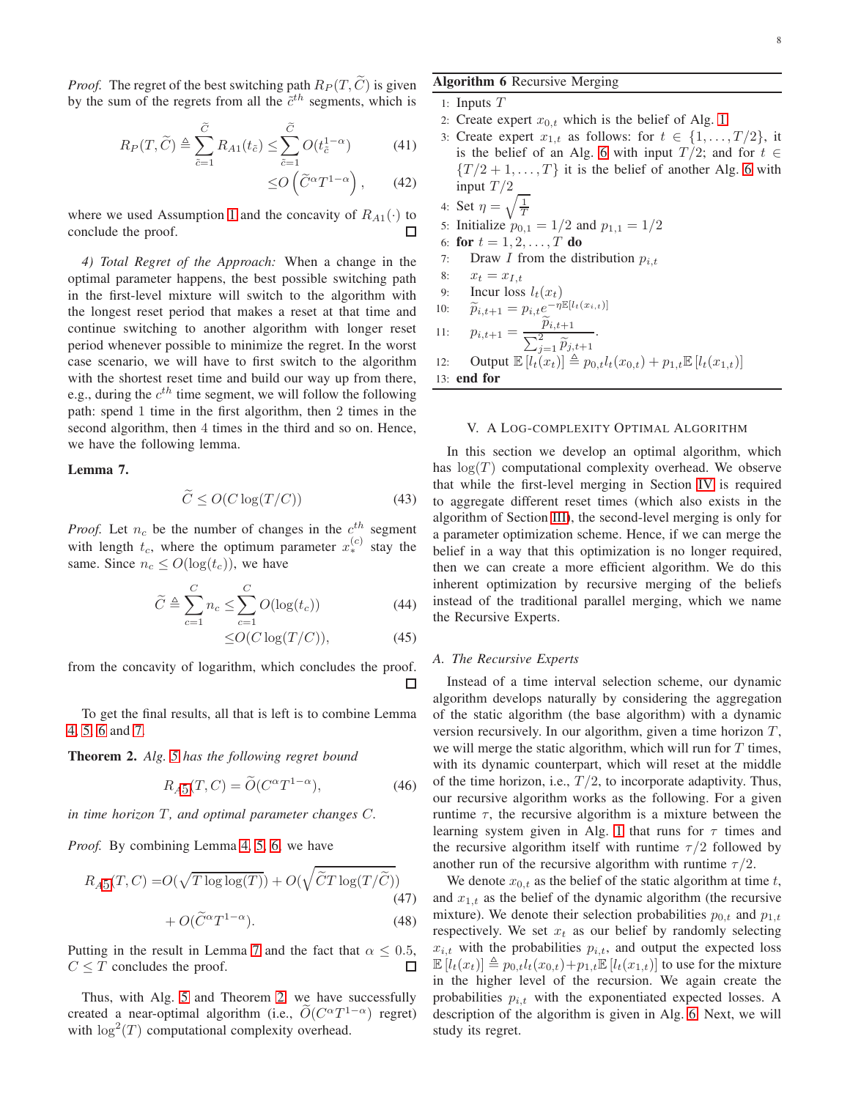*Proof.* The regret of the best switching path  $R_P(T, \tilde{C})$  is given by the sum of the regrets from all the  $\tilde{c}^{th}$  segments, which is

$$
R_P(T, \widetilde{C}) \triangleq \sum_{\tilde{c}=1}^{\tilde{C}} R_{A1}(t_{\tilde{c}}) \le \sum_{\tilde{c}=1}^{\tilde{C}} O(t_{\tilde{c}}^{1-\alpha}) \tag{41}
$$

$$
\leq O\left(\widetilde{C}^{\alpha}T^{1-\alpha}\right),\qquad(42)
$$

where we used Assumption [1](#page-2-8) and the concavity of  $R_{A1}(\cdot)$  to conclude the proof. conclude the proof.

*4) Total Regret of the Approach:* When a change in the optimal parameter happens, the best possible switching path in the first-level mixture will switch to the algorithm with the longest reset period that makes a reset at that time and continue switching to another algorithm with longer reset period whenever possible to minimize the regret. In the worst case scenario, we will have to first switch to the algorithm with the shortest reset time and build our way up from there, e.g., during the  $c^{th}$  time segment, we will follow the following path: spend 1 time in the first algorithm, then 2 times in the second algorithm, then 4 times in the third and so on. Hence, we have the following lemma.

#### <span id="page-7-1"></span>Lemma 7.

$$
\widetilde{C} \le O(C \log(T/C))\tag{43}
$$

*Proof.* Let  $n_c$  be the number of changes in the  $c^{th}$  segment with length  $t_c$ , where the optimum parameter  $x_*^{(c)}$  stay the same. Since  $n_c \leq O(\log(t_c))$ , we have

$$
\widetilde{C} \triangleq \sum_{c=1}^{C} n_c \leq \sum_{c=1}^{C} O(\log(t_c))
$$
\n(44)

$$
\leq O(C\log(T/C)),\tag{45}
$$

from the concavity of logarithm, which concludes the proof. П

To get the final results, all that is left is to combine Lemma [4,](#page-6-2) [5,](#page-6-3) [6](#page-6-4) and [7.](#page-7-1)

<span id="page-7-2"></span>Theorem 2. *Alg. [5](#page-6-0) has the following regret bound*

$$
R_{A5}(T, C) = \tilde{O}(C^{\alpha}T^{1-\alpha}),\tag{46}
$$

*in time horizon* T, and optimal parameter changes C.

*Proof.* By combining Lemma [4,](#page-6-2) [5,](#page-6-3) [6,](#page-6-4) we have

$$
R_{A5}(T, C) = O(\sqrt{T \log \log(T)}) + O(\sqrt{\widetilde{C}T \log(T/\widetilde{C})})
$$
  
+  $O(\widetilde{C}^{\alpha}T^{1-\alpha}).$  (48)

Putting in the result in Lemma [7](#page-7-1) and the fact that  $\alpha \leq 0.5$ ,<br> $C \leq T$  concludes the proof  $C \leq T$  concludes the proof.

Thus, with Alg. [5](#page-6-0) and Theorem [2,](#page-7-2) we have successfully created a near-optimal algorithm (i.e.,  $\tilde{O}(C^{\alpha}T^{1-\alpha})$  regret) with  $\log^2(T)$  computational complexity overhead.

#### <span id="page-7-3"></span>Algorithm 6 Recursive Merging

1: Inputs 
$$
T
$$

- 2: Create expert  $x_{0,t}$  which is the belief of Alg. [1](#page-2-6)
- 3: Create expert  $x_{1,t}$  as follows: for  $t \in \{1, \ldots, T/2\}$ , it is the belief of an Alg. [6](#page-7-3) with input  $T/2$ ; and for  $t \in$  ${T/2+1,\ldots,T}$  it is the belief of another Alg. [6](#page-7-3) with input  $T/2$

4: Set 
$$
\eta = \sqrt{\frac{1}{7}}
$$

5: Initialize  $p_{0,1} = 1/2$  and  $p_{1,1} = 1/2$ 

- 6: for  $t = 1, 2, ..., T$  do
- 7: Draw *I* from the distribution  $p_{i,t}$

8: 
$$
x_t = x_{I,t}
$$

9: Incur loss 
$$
l_t(x_t)
$$

10: 
$$
\widetilde{p}_{i,t+1} = p_{i,t} e^{-\eta \mathbb{E}[l_t(x_{i,t})]}
$$

11: 
$$
p_{i,t+1} = \frac{P_{i,t+1}}{\sum_{j=1}^{2} \widetilde{p}_{j,t+1}}
$$
.  
\n12: Output  $\mathbb{E}[l_t(x_t)] \triangleq p_{0,t} l_t(x_{0,t}) + p_{1,t} \mathbb{E}[l_t(x_{1,t})]$   
\n13: **end for**

 $\rightarrow$ 

<span id="page-7-0"></span>V. A LOG-COMPLEXITY OPTIMAL ALGORITHM

In this section we develop an optimal algorithm, which has  $log(T)$  computational complexity overhead. We observe that while the first-level merging in Section [IV](#page-5-0) is required to aggregate different reset times (which also exists in the algorithm of Section [III\)](#page-4-0), the second-level merging is only for a parameter optimization scheme. Hence, if we can merge the belief in a way that this optimization is no longer required, then we can create a more efficient algorithm. We do this inherent optimization by recursive merging of the beliefs instead of the traditional parallel merging, which we name the Recursive Experts.

#### *A. The Recursive Experts*

Instead of a time interval selection scheme, our dynamic algorithm develops naturally by considering the aggregation of the static algorithm (the base algorithm) with a dynamic version recursively. In our algorithm, given a time horizon  $T$ , we will merge the static algorithm, which will run for  $T$  times, with its dynamic counterpart, which will reset at the middle of the time horizon, i.e.,  $T/2$ , to incorporate adaptivity. Thus, our recursive algorithm works as the following. For a given runtime  $\tau$ , the recursive algorithm is a mixture between the learning system given in Alg. [1](#page-2-6) that runs for  $\tau$  times and the recursive algorithm itself with runtime  $\tau/2$  followed by another run of the recursive algorithm with runtime  $\tau/2$ .

We denote  $x_{0,t}$  as the belief of the static algorithm at time t, and  $x_{1,t}$  as the belief of the dynamic algorithm (the recursive mixture). We denote their selection probabilities  $p_{0,t}$  and  $p_{1,t}$ respectively. We set  $x_t$  as our belief by randomly selecting  $x_{i,t}$  with the probabilities  $p_{i,t}$ , and output the expected loss  $\mathbb{E}[l_t(x_t)] \triangleq p_{0,t}l_t(x_{0,t})+p_{1,t}\mathbb{E}[l_t(x_{1,t})]$  to use for the mixture in the higher level of the recursion. We again create the probabilities  $p_{i,t}$  with the exponentiated expected losses. A description of the algorithm is given in Alg. [6.](#page-7-3) Next, we will study its regret.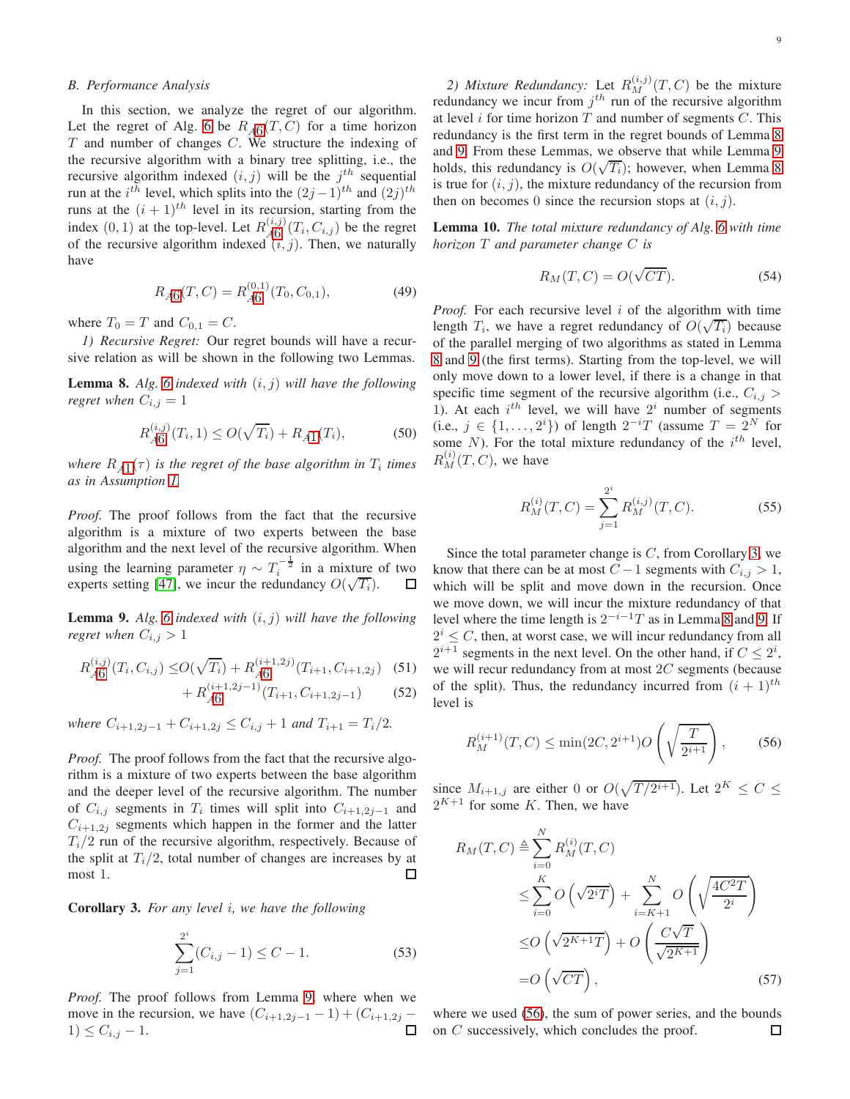#### *B. Performance Analysis*

In this section, we analyze the regret of our algorithm. Let the regret of Alg. [6](#page-7-3) be  $R_{A6}(T, C)$  $R_{A6}(T, C)$  $R_{A6}(T, C)$  for a time horizon  $T$  and number of changes  $C$ . We structure the indexing of the recursive algorithm with a binary tree splitting, i.e., the recursive algorithm indexed  $(i, j)$  will be the  $j<sup>th</sup>$  sequential run at the  $i^{th}$  level, which splits into the  $(2j-1)^{th}$  and  $(2j)^{th}$ runs at the  $(i + 1)^{th}$  level in its recursion, starting from the index  $(0, 1)$  at the top-level. Let  $R_{\mathcal{A}\mathcal{B}}^{(i,j)}(T_i, C_{i,j})$  be the regret of the recursive algorithm indexed  $\tilde{i}$ ,  $j$ ). Then, we naturally have

$$
R_{A6}(T, C) = R_{A6}^{(0,1)}(T_0, C_{0,1}),
$$
\n(49)

where  $T_0 = T$  and  $C_{0,1} = C$ .

*1) Recursive Regret:* Our regret bounds will have a recursive relation as will be shown in the following two Lemmas.

<span id="page-8-1"></span>Lemma 8. *Alg. [6](#page-7-3) indexed with* (i, j) *will have the following regret when*  $C_{i,j} = 1$ 

$$
R_{A6}^{(i,j)}(T_i, 1) \le O(\sqrt{T_i}) + R_{A1}(T_i),\tag{50}
$$

where  $R_{A1}(\tau)$  $R_{A1}(\tau)$  $R_{A1}(\tau)$  is the regret of the base algorithm in  $T_i$  times *as in Assumption [1.](#page-2-8)*

*Proof.* The proof follows from the fact that the recursive algorithm is a mixture of two experts between the base algorithm and the next level of the recursive algorithm. When using the learning parameter  $\eta \sim T_i^{-\frac{1}{2}}$  in a mixture of two experts setting [\[47\]](#page-10-27), we incur the redundancy  $O(\sqrt{T_i})$ . □

<span id="page-8-0"></span>**Lemma 9.** *Alg.* [6](#page-7-3) *indexed with*  $(i, j)$  *will have the following regret when*  $C_{i,j} > 1$ 

$$
R_{A6}^{(i,j)}(T_i, C_{i,j}) \le O(\sqrt{T_i}) + R_{A6}^{(i+1,2j)}(T_{i+1}, C_{i+1,2j})
$$
 (51)

$$
+ R_{A6}^{(i+1,2j-1)}(T_{i+1}, C_{i+1,2j-1}) \tag{52}
$$

*where*  $C_{i+1,2j-1} + C_{i+1,2j} \leq C_{i,j} + 1$  *and*  $T_{i+1} = T_i/2$ *.* 

*Proof.* The proof follows from the fact that the recursive algorithm is a mixture of two experts between the base algorithm and the deeper level of the recursive algorithm. The number of  $C_{i,j}$  segments in  $T_i$  times will split into  $C_{i+1,2j-1}$  and  $C_{i+1,2j}$  segments which happen in the former and the latter  $T_i/2$  run of the recursive algorithm, respectively. Because of the split at  $T_i/2$ , total number of changes are increases by at most 1. □

<span id="page-8-2"></span>Corollary 3. *For any level* i*, we have the following*

$$
\sum_{j=1}^{2^i} (C_{i,j} - 1) \le C - 1.
$$
 (53)

*Proof.* The proof follows from Lemma [9;](#page-8-0) where when we move in the recursion, we have  $(C_{i+1,2j-1} - 1) + (C_{i+1,2j} - 1) < C_{i,j} - 1$ .  $1) \leq C_{i,j} - 1.$ 

2) *Mixture Redundancy:* Let  $R_M^{(i,j)}(T, C)$  be the mixture redundancy we incur from  $j<sup>th</sup>$  run of the recursive algorithm at level  $i$  for time horizon  $T$  and number of segments  $C$ . This redundancy is the first term in the regret bounds of Lemma [8](#page-8-1) and [9.](#page-8-0) From these Lemmas, we observe that while Lemma [9](#page-8-0) holds, this redundancy is  $O(\sqrt{T_i})$ ; however, when Lemma [8](#page-8-1) is true for  $(i, j)$ , the mixture redundancy of the recursion from then on becomes 0 since the recursion stops at  $(i, j)$ .

<span id="page-8-4"></span>Lemma 10. *The total mixture redundancy of Alg. [6](#page-7-3) with time horizon* T *and parameter change* C *is*

$$
R_M(T, C) = O(\sqrt{CT}).
$$
\n(54)

*Proof.* For each recursive level i of the algorithm with time length  $T_i$ , we have a regret redundancy of  $O(\sqrt{T_i})$  because of the parallel merging of two algorithms as stated in Lemma [8](#page-8-1) and [9](#page-8-0) (the first terms). Starting from the top-level, we will only move down to a lower level, if there is a change in that specific time segment of the recursive algorithm (i.e.,  $C_{i,j}$ ) 1). At each  $i^{th}$  level, we will have  $2^i$  number of segments (i.e.,  $j \in \{1, \ldots, 2^i\}$ ) of length  $2^{-i}T$  (assume  $T = 2^N$  for some N). For the total mixture redundancy of the  $i^{th}$  level,  $R_M^{(i)}(T, C)$ , we have

$$
R_M^{(i)}(T,C) = \sum_{j=1}^{2^i} R_M^{(i,j)}(T,C).
$$
 (55)

Since the total parameter change is  $C$ , from Corollary [3,](#page-8-2) we know that there can be at most  $C - 1$  segments with  $C_{i,j} > 1$ , which will be split and move down in the recursion. Once we move down, we will incur the mixture redundancy of that level where the time length is  $2^{-i-1}T$  as in Lemma [8](#page-8-1) and [9.](#page-8-0) If  $2^{i} \leq C$ , then, at worst case, we will incur redundancy from all  $2^{i+1}$  segments in the next level. On the other hand, if  $C \leq 2^i$ , we will recur redundancy from at most  $2C$  segments (because of the split). Thus, the redundancy incurred from  $(i + 1)$ <sup>th</sup> level is

<span id="page-8-3"></span>
$$
R_M^{(i+1)}(T, C) \le \min(2C, 2^{i+1})O\left(\sqrt{\frac{T}{2^{i+1}}}\right),\qquad(56)
$$

since  $M_{i+1,j}$  are either 0 or  $O(\sqrt{T/2^{i+1}})$ . Let  $2^K \leq C \leq$  $2^{K+1}$  for some K. Then, we have

$$
R_M(T, C) \triangleq \sum_{i=0}^{N} R_M^{(i)}(T, C)
$$
  
\n
$$
\leq \sum_{i=0}^{K} O\left(\sqrt{2^i T}\right) + \sum_{i=K+1}^{N} O\left(\sqrt{\frac{4C^2 T}{2^i}}\right)
$$
  
\n
$$
\leq O\left(\sqrt{2^{K+1} T}\right) + O\left(\frac{C\sqrt{T}}{\sqrt{2^{K+1}}}\right)
$$
  
\n
$$
= O\left(\sqrt{CT}\right), \tag{57}
$$

where we used [\(56\)](#page-8-3), the sum of power series, and the bounds on C successively, which concludes the proof. $\Box$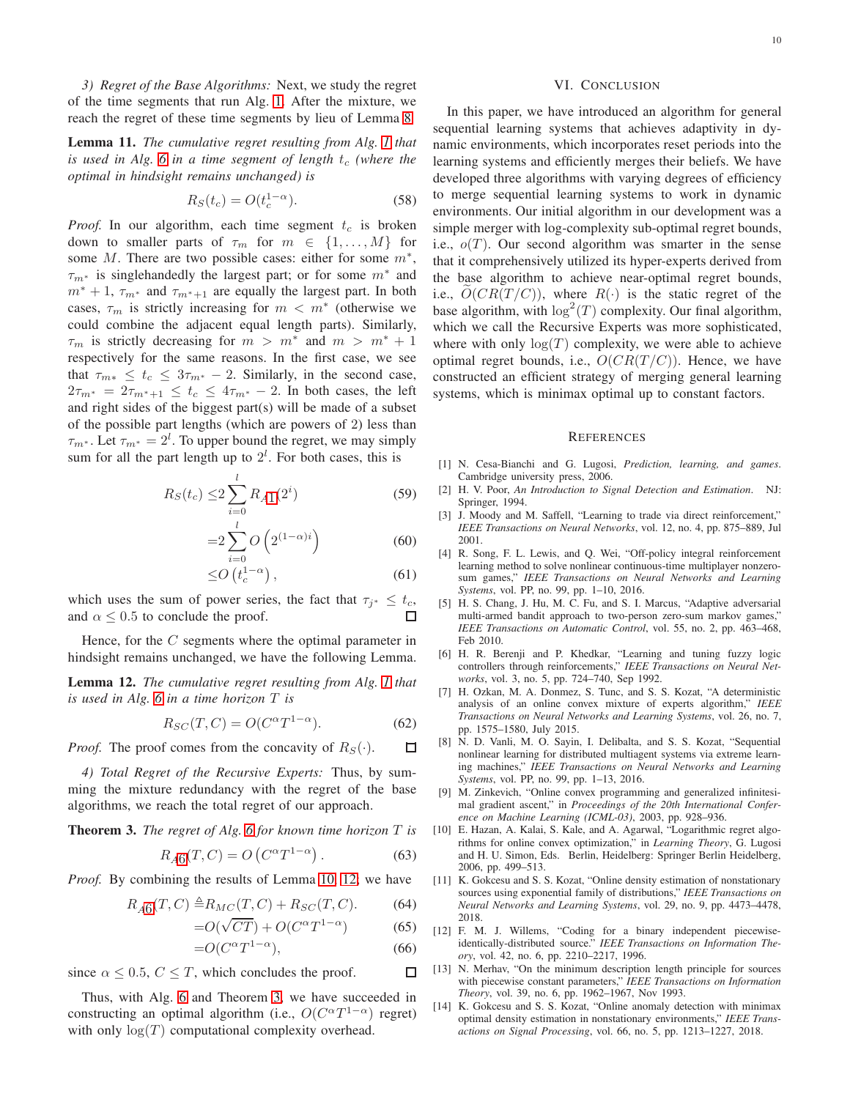*3) Regret of the Base Algorithms:* Next, we study the regret of the time segments that run Alg. [1.](#page-2-6) After the mixture, we reach the regret of these time segments by lieu of Lemma [8.](#page-8-1)

Lemma 11. *The cumulative regret resulting from Alg. [1](#page-2-6) that is used in Alg.* [6](#page-7-3) *in a time segment of length*  $t_c$  (where the *optimal in hindsight remains unchanged) is*

$$
R_S(t_c) = O(t_c^{1-\alpha}).
$$
\n(58)

*Proof.* In our algorithm, each time segment  $t_c$  is broken down to smaller parts of  $\tau_m$  for  $m \in \{1, \ldots, M\}$  for some  $M$ . There are two possible cases: either for some  $m^*$ ,  $\tau_{m^*}$  is singlehandedly the largest part; or for some  $m^*$  and  $m^* + 1$ ,  $\tau_{m^*}$  and  $\tau_{m^*+1}$  are equally the largest part. In both cases,  $\tau_m$  is strictly increasing for  $m < m^*$  (otherwise we could combine the adjacent equal length parts). Similarly,  $\tau_m$  is strictly decreasing for  $m > m^*$  and  $m > m^* + 1$ respectively for the same reasons. In the first case, we see that  $\tau_{m*} \leq t_c \leq 3\tau_{m*} - 2$ . Similarly, in the second case,  $2\tau_{m^*} = 2\tau_{m^*+1} \leq t_c \leq 4\tau_{m^*} - 2$ . In both cases, the left and right sides of the biggest part(s) will be made of a subset of the possible part lengths (which are powers of 2) less than  $\tau_{m^*}$ . Let  $\tau_{m^*} = 2^l$ . To upper bound the regret, we may simply sum for all the part length up to  $2^l$ . For both cases, this is

$$
R_S(t_c) \le 2 \sum_{i=0}^{l} R_{A1}(2^i)
$$
 (59)

$$
=2\sum_{i=0}^{l}O(2^{(1-\alpha)i})
$$
\n(60)

$$
\leq O\left(t_c^{1-\alpha}\right),\tag{61}
$$

which uses the sum of power series, the fact that  $\tau_{j^*} \leq t_c$ , and  $\alpha \leq 0.5$  to conclude the proof.

Hence, for the C segments where the optimal parameter in hindsight remains unchanged, we have the following Lemma.

<span id="page-9-12"></span>Lemma 12. *The cumulative regret resulting from Alg. [1](#page-2-6) that is used in Alg. [6](#page-7-3) in a time horizon* T *is*

$$
R_{SC}(T, C) = O(C^{\alpha} T^{1-\alpha}).
$$
\n(62)

*Proof.* The proof comes from the concavity of  $R_S(\cdot)$ .  $\Box$ 

*4) Total Regret of the Recursive Experts:* Thus, by summing the mixture redundancy with the regret of the base algorithms, we reach the total regret of our approach.

<span id="page-9-13"></span>Theorem 3. *The regret of Alg. [6](#page-7-3) for known time horizon* T *is*

$$
R_{A6}(T, C) = O\left(C^{\alpha} T^{1-\alpha}\right). \tag{63}
$$

*Proof.* By combining the results of Lemma [10,](#page-8-4) [12;](#page-9-12) we have

$$
R_{A6}(T, C) \triangleq R_{MC}(T, C) + R_{SC}(T, C). \tag{64}
$$

$$
=O(\sqrt{CT}) + O(C^{\alpha}T^{1-\alpha})\tag{65}
$$

$$
=O(C^{\alpha}T^{1-\alpha}),\tag{66}
$$

П

since  $\alpha \leq 0.5$ ,  $C \leq T$ , which concludes the proof.

Thus, with Alg. [6](#page-7-3) and Theorem [3,](#page-9-13) we have succeeded in constructing an optimal algorithm (i.e.,  $O(C^{\alpha}T^{1-\alpha})$  regret) with only  $log(T)$  computational complexity overhead.

<span id="page-9-11"></span>In this paper, we have introduced an algorithm for general sequential learning systems that achieves adaptivity in dynamic environments, which incorporates reset periods into the learning systems and efficiently merges their beliefs. We have developed three algorithms with varying degrees of efficiency to merge sequential learning systems to work in dynamic environments. Our initial algorithm in our development was a simple merger with log-complexity sub-optimal regret bounds, i.e.,  $o(T)$ . Our second algorithm was smarter in the sense that it comprehensively utilized its hyper-experts derived from the base algorithm to achieve near-optimal regret bounds, i.e.,  $O(CR(T/C))$ , where  $R(\cdot)$  is the static regret of the base algorithm, with  $\log^2(T)$  complexity. Our final algorithm, which we call the Recursive Experts was more sophisticated, where with only  $log(T)$  complexity, we were able to achieve optimal regret bounds, i.e.,  $O(CR(T/C))$ . Hence, we have constructed an efficient strategy of merging general learning systems, which is minimax optimal up to constant factors.

VI. CONCLUSION

#### **REFERENCES**

- <span id="page-9-0"></span>[1] N. Cesa-Bianchi and G. Lugosi, *Prediction, learning, and games*. Cambridge university press, 2006.
- <span id="page-9-1"></span>[2] H. V. Poor, *An Introduction to Signal Detection and Estimation*. NJ: Springer, 1994.
- <span id="page-9-2"></span>[3] J. Moody and M. Saffell, "Learning to trade via direct reinforcement," *IEEE Transactions on Neural Networks*, vol. 12, no. 4, pp. 875–889, Jul 2001.
- <span id="page-9-3"></span>[4] R. Song, F. L. Lewis, and Q. Wei, "Off-policy integral reinforcement learning method to solve nonlinear continuous-time multiplayer nonzerosum games," *IEEE Transactions on Neural Networks and Learning Systems*, vol. PP, no. 99, pp. 1–10, 2016.
- <span id="page-9-4"></span>[5] H. S. Chang, J. Hu, M. C. Fu, and S. I. Marcus, "Adaptive adversarial multi-armed bandit approach to two-person zero-sum markov games," *IEEE Transactions on Automatic Control*, vol. 55, no. 2, pp. 463–468, Feb 2010.
- <span id="page-9-5"></span>[6] H. R. Berenji and P. Khedkar, "Learning and tuning fuzzy logic controllers through reinforcements," *IEEE Transactions on Neural Networks*, vol. 3, no. 5, pp. 724–740, Sep 1992.
- <span id="page-9-6"></span>[7] H. Ozkan, M. A. Donmez, S. Tunc, and S. S. Kozat, "A deterministic analysis of an online convex mixture of experts algorithm," *IEEE Transactions on Neural Networks and Learning Systems*, vol. 26, no. 7, pp. 1575–1580, July 2015.
- <span id="page-9-7"></span>[8] N. D. Vanli, M. O. Sayin, I. Delibalta, and S. S. Kozat, "Sequential nonlinear learning for distributed multiagent systems via extreme learning machines," *IEEE Transactions on Neural Networks and Learning Systems*, vol. PP, no. 99, pp. 1–13, 2016.
- <span id="page-9-8"></span>[9] M. Zinkevich, "Online convex programming and generalized infinitesimal gradient ascent," in *Proceedings of the 20th International Conference on Machine Learning (ICML-03)*, 2003, pp. 928–936.
- <span id="page-9-9"></span>[10] E. Hazan, A. Kalai, S. Kale, and A. Agarwal, "Logarithmic regret algorithms for online convex optimization," in *Learning Theory*, G. Lugosi and H. U. Simon, Eds. Berlin, Heidelberg: Springer Berlin Heidelberg, 2006, pp. 499–513.
- <span id="page-9-10"></span>[11] K. Gokcesu and S. S. Kozat, "Online density estimation of nonstationary sources using exponential family of distributions," *IEEE Transactions on Neural Networks and Learning Systems*, vol. 29, no. 9, pp. 4473–4478, 2018.
- [12] F. M. J. Willems, "Coding for a binary independent piecewiseidentically-distributed source." *IEEE Transactions on Information Theory*, vol. 42, no. 6, pp. 2210–2217, 1996.
- [13] N. Merhav, "On the minimum description length principle for sources with piecewise constant parameters," *IEEE Transactions on Information Theory*, vol. 39, no. 6, pp. 1962–1967, Nov 1993.
- [14] K. Gokcesu and S. S. Kozat, "Online anomaly detection with minimax optimal density estimation in nonstationary environments," *IEEE Transactions on Signal Processing*, vol. 66, no. 5, pp. 1213–1227, 2018.